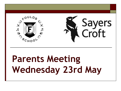

# **Parents Meeting Wednesday 23rd May**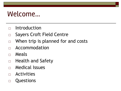#### Welcome…

- **Introduction**
- □ Sayers Croft Field Centre
- □ When trip is planned for and costs
- Accommodation
- □ Meals
- Health and Safety
- **Medical Issues**
- **Activities**
- □ Questions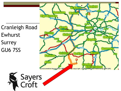M1 latfiel  $A(1M)$ mersham Watford High Wycom Cranleigh Road Slough ondor Maidenhead - -**Staines** Ewhurst Surrey GU6 7SS evenoaks **uildford Dorking** Farnham (C) Automobile Association 2007 copyright. LiczNos100021153; Powered by ESRI (UK Δ. Sayers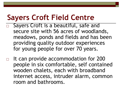## **Sayers Croft Field Centre**

- Sayers Croft is a beautiful, safe and secure site with 56 acres of woodlands, meadows, ponds and fields and has been providing quality outdoor experiences for young people for over 70 years.
- It can provide accommodation for 200 people in six comfortable, self contained wooden chalets, each with broadband internet access, intruder alarm, common room and bathrooms.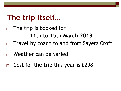#### **The trip itself…**

- □ The trip is booked for **11th to 15th March 2019**
- □ Travel by coach to and from Sayers Croft
- Weather can be varied!
- $\Box$  Cost for the trip this year is £298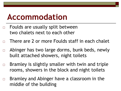#### **Accommodation**

- Foulds are usually split between two chalets next to each other
- There are 2 or more Foulds staff in each chalet
- Abinger has two large dorms, bunk beds, newly built attached showers, night toilets
- Bramley is slightly smaller with twin and triple rooms, showers in the block and night toilets
- □ Bramley and Abinger have a classroom in the middle of the building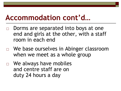#### **Accommodation cont'd…**

- Dorms are separated into boys at one end and girls at the other, with a staff room in each end
- □ We base ourselves in Abinger classroom when we meet as a whole group
- We always have mobiles and centre staff are on duty 24 hours a day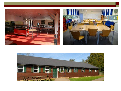

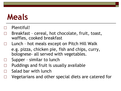#### **Meals**

- Plentiful!
- Breakfast cereal, hot chocolate, fruit, toast, waffles, cooked breakfast
- Lunch hot meals except on Pitch Hill Walk e.g. pizza, chicken pie, fish and chips, curry, bolognese- all served with vegetables.
- Supper similar to lunch
- Puddings and fruit is usually available
- Salad bar with lunch
- Vegetarians and other special diets are catered for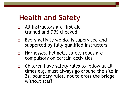#### **Health and Safety**

- All instructors are first aid trained and DBS checked
- □ Every activity we do, is supervised and supported by fully qualified instructors
- □ Harnesses, helmets, safety ropes are compulsory on certain activities
- □ Children have safety rules to follow at all times e.g. must always go around the site in 3s, boundary rules, not to cross the bridge without staff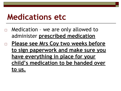## **Medications etc**

- Medication we are only allowed to administer **prescribed medication**
	- **Please see Mrs Coy two weeks before to sign paperwork and make sure you have everything in place for your child's medication to be handed over to us.**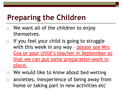### **Preparing the Children**

- We want all of the children to enjoy themselves.
- $\Box$  If you feel your child is going to struggle with this week in any way - please see Mrs Coy or your child's teacher in September so that we can put some preparation work in place.
- We would like to know about bed wetting
- □ anxieties, inexperience of being away from home or taking part in new activities etc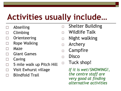## **Activities usually include…**

- **Abseiling**
- **Climbing**
- **Orienteering**
- Rope Walking
- **Maze**
- Giant Games
- **Caving**
- 5 mile walk up Pitch Hill
- Visit Ewhurst village
- **Blindfold Trail**
- □ Shelter Building
- Wildlife Talk
- □ Night walking
	- **Archery**
- **Campfire**
- Disco
- □ Tuck shop!
	- If it is wet/SNOWING!, *the centre staff are very good at finding alternative activities*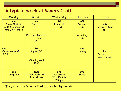#### **A typical week at Sayers Croft**

| Monday                                                              | Tuesday                                            | Wednesday                                           | Thursday                 | Friday                                     |
|---------------------------------------------------------------------|----------------------------------------------------|-----------------------------------------------------|--------------------------|--------------------------------------------|
| <b>AM</b>                                                           | <b>AM</b>                                          | AM                                                  | <b>AM</b>                |                                            |
| Arrive 10:30am<br><b>Beds &amp; Boundaries</b><br>Fire Drill 12noon | <b>Shelters</b><br>(F)                             | Pitch Hill<br>(SC)                                  | Archery<br>(SC)          | <b>AM</b><br>Ewhurst village<br>(F)        |
|                                                                     | <b>Maze and Blindfold</b><br>trail<br>(F)          |                                                     | <b>Abseiling</b><br>(SC) |                                            |
| PM<br>Orienteering (F)<br>1 & 2                                     | <b>PM</b><br>Ropes (SC)                            |                                                     | <b>PM</b><br>Caving      | <b>PM</b><br>Depart after<br>lunch, 1:30pm |
|                                                                     | <b>Climbing Wall</b><br>(SC)                       |                                                     |                          |                                            |
| <b>EVE</b><br>Campfire                                              | <b>EVE</b><br>Night walk and<br><b>Giant Games</b> | <b>EVE</b><br>G. Cormick<br>Wildlife talk<br>7.30pm | <b>EVE</b><br>Disco      |                                            |

\*(SC) = Led by Sayer's Croft, (F) = led by Foulds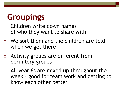# **Groupings**

- $\Box$  Children write down names of who they want to share with
- $\Box$  We sort them and the children are told when we get there
- Activity groups are different from dormitory groups
- All year 6s are mixed up throughout the week – good for team work and getting to know each other better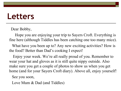#### **Letters**

Dear Bobby,

 Hope you are enjoying your trip to Sayers Croft. Everything is fine here (although Tiddles has been catching one too many mice).

What have you been up to? Any new exciting activities? How is the food? Better than Dad's cooking I expect!

 Enjoy your week. We're all really proud of you. Remember to wear your hat and gloves as it is still quite nippy outside. Also make sure you get a couple of photos to show us when you get home (and for your Sayers Croft diary). Above all, enjoy yourself!

See you soon,

Love Mum & Dad (and Tiddles)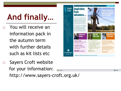# **And finally…**

- You will receive an information pack in the autumn term with further details such as kit lists etc
- Sayers Croft website for your information: Error on page. http://www.sayers-croft.org.uk/



**O** Internet